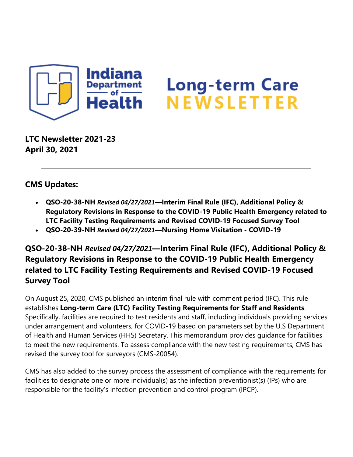

# **Long-term Care NEWSLETTER**

**LTC Newsletter 2021-23 April 30, 2021**

#### **CMS Updates:**

- **QSO-20-38-NH** *Revised 04/27/2021***—Interim Final Rule (IFC), Additional Policy & Regulatory Revisions in Response to the COVID-19 Public Health Emergency related to LTC Facility Testing Requirements and Revised COVID-19 Focused Survey Tool**
- **QSO-20-39-NH** *Revised 04/27/2021***—Nursing Home Visitation - COVID-19**

## **QSO-20-38-NH** *Revised 04/27/2021***—Interim Final Rule (IFC), Additional Policy & Regulatory Revisions in Response to the COVID-19 Public Health Emergency related to LTC Facility Testing Requirements and Revised COVID-19 Focused Survey Tool**

On August 25, 2020, CMS published an interim final rule with comment period (IFC). This rule establishes **Long-term Care (LTC) Facility Testing Requirements for Staff and Residents**. Specifically, facilities are required to test residents and staff, including individuals providing services under arrangement and volunteers, for COVID-19 based on parameters set by the U.S Department of Health and Human Services (HHS) Secretary. This memorandum provides guidance for facilities to meet the new requirements. To assess compliance with the new testing requirements, CMS has revised the survey tool for surveyors (CMS-20054).

CMS has also added to the survey process the assessment of compliance with the requirements for facilities to designate one or more individual(s) as the infection preventionist(s) (IPs) who are responsible for the facility's infection prevention and control program (IPCP).